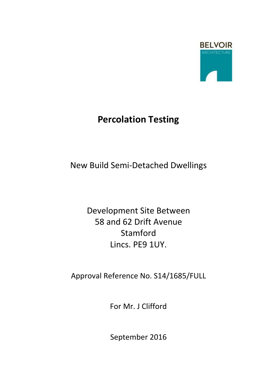

# **Percolation Testing**

New Build Semi-Detached Dwellings

Development Site Between 58 and 62 Drift Avenue Stamford Lincs. PE9 1UY.

Approval Reference No. S14/1685/FULL

For Mr. J Clifford

September 2016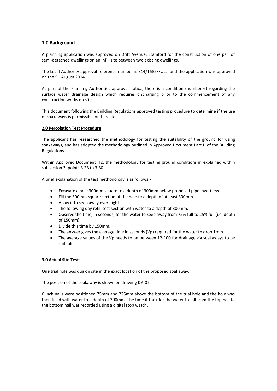## **1.0 Background**

A planning application was approved on Drift Avenue, Stamford for the construction of one pair of semi-detached dwellings on an infill site between two existing dwellings.

The Local Authority approval reference number is S14/1685/FULL, and the application was approved on the 5<sup>th</sup> August 2014.

As part of the Planning Authorities approval notice, there is a condition (number 6) regarding the surface water drainage design which requires discharging prior to the commencement of any construction works on site.

This document following the Building Regulations approved testing procedure to determine if the use of soakaways is permissible on this site.

#### **2.0 Percolation Test Procedure**

The applicant has researched the methodology for testing the suitability of the ground for using soakaways, and has adopted the methodology outlined in Approved Document Part H of the Building Regulations.

Within Approved Document H2, the methodology for testing ground conditions in explained within subsection 3, points 3.23 to 3.30.

A brief explanation of the test methodology is as follows:-

- Excavate a hole 300mm square to a depth of 300mm below proposed pipe invert level.
- Fill the 300mm square section of the hole to a depth of at least 300mm.
- Allow it to seep away over night.
- The following day refill test section with water to a depth of 300mm.
- Observe the time, in seconds, for the water to seep away from 75% full to 25% full (i.e. depth of 150mm).
- Divide this time by 150mm.
- The answer gives the average time in seconds (Vp) required for the water to drop 1mm.
- The average values of the Vp needs to be between 12-100 for drainage via soakaways to be suitable.

#### **3.0 Actual Site Tests**

One trial hole was dug on site in the exact location of the proposed soakaway.

The position of the soakaway is shown on drawing DA-02.

6 inch nails were positioned 75mm and 225mm above the bottom of the trial hole and the hole was then filled with water to a depth of 300mm. The time it took for the water to fall from the top nail to the bottom nail was recorded using a digital stop watch.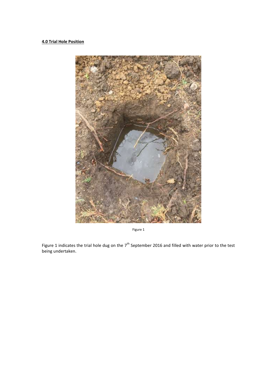# **4.0 Trial Hole Position**



Figure 1

Figure 1 indicates the trial hole dug on the  $7<sup>th</sup>$  September 2016 and filled with water prior to the test being undertaken.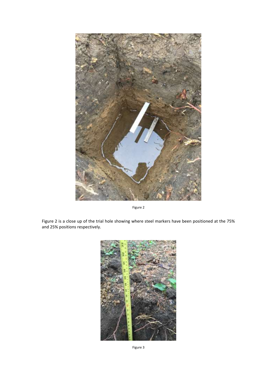

Figure 2

Figure 2 is a close up of the trial hole showing where steel markers have been positioned at the 75% and 25% positions respectively.



Figure 3